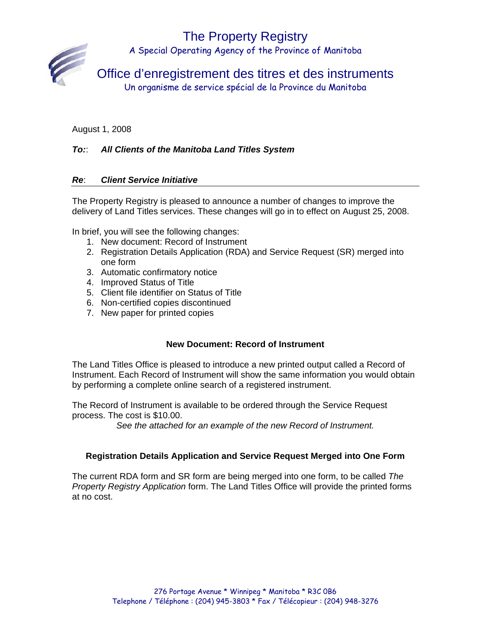# The Property Registry



A Special Operating Agency of the Province of Manitoba

Office d'enregistrement des titres et des instruments

Un organisme de service spécial de la Province du Manitoba

August 1, 2008

# *To:*: *All Clients of the Manitoba Land Titles System*

# *Re*: *Client Service Initiative*

The Property Registry is pleased to announce a number of changes to improve the delivery of Land Titles services. These changes will go in to effect on August 25, 2008.

In brief, you will see the following changes:

- 1. New document: Record of Instrument
- 2. Registration Details Application (RDA) and Service Request (SR) merged into one form
- 3. Automatic confirmatory notice
- 4. Improved Status of Title
- 5. Client file identifier on Status of Title
- 6. Non-certified copies discontinued
- 7. New paper for printed copies

# **New Document: Record of Instrument**

The Land Titles Office is pleased to introduce a new printed output called a Record of Instrument. Each Record of Instrument will show the same information you would obtain by performing a complete online search of a registered instrument.

The Record of Instrument is available to be ordered through the Service Request process. The cost is \$10.00.

*See the attached for an example of the new Record of Instrument.* 

# **Registration Details Application and Service Request Merged into One Form**

The current RDA form and SR form are being merged into one form, to be called *The Property Registry Application* form. The Land Titles Office will provide the printed forms at no cost.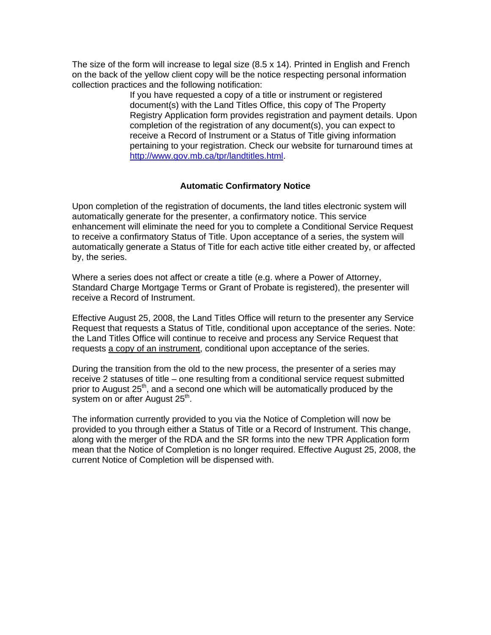The size of the form will increase to legal size (8.5 x 14). Printed in English and French on the back of the yellow client copy will be the notice respecting personal information collection practices and the following notification:

> If you have requested a copy of a title or instrument or registered document(s) with the Land Titles Office, this copy of The Property Registry Application form provides registration and payment details. Upon completion of the registration of any document(s), you can expect to receive a Record of Instrument or a Status of Title giving information pertaining to your registration. Check our website for turnaround times at <http://www.gov.mb.ca/tpr/landtitles.html>.

#### **Automatic Confirmatory Notice**

Upon completion of the registration of documents, the land titles electronic system will automatically generate for the presenter, a confirmatory notice. This service enhancement will eliminate the need for you to complete a Conditional Service Request to receive a confirmatory Status of Title. Upon acceptance of a series, the system will automatically generate a Status of Title for each active title either created by, or affected by, the series.

Where a series does not affect or create a title (e.g. where a Power of Attorney, Standard Charge Mortgage Terms or Grant of Probate is registered), the presenter will receive a Record of Instrument.

Effective August 25, 2008, the Land Titles Office will return to the presenter any Service Request that requests a Status of Title, conditional upon acceptance of the series. Note: the Land Titles Office will continue to receive and process any Service Request that requests a copy of an instrument, conditional upon acceptance of the series.

During the transition from the old to the new process, the presenter of a series may receive 2 statuses of title – one resulting from a conditional service request submitted prior to August 25<sup>th</sup>, and a second one which will be automatically produced by the system on or after August 25<sup>th</sup>.

The information currently provided to you via the Notice of Completion will now be provided to you through either a Status of Title or a Record of Instrument. This change, along with the merger of the RDA and the SR forms into the new TPR Application form mean that the Notice of Completion is no longer required. Effective August 25, 2008, the current Notice of Completion will be dispensed with.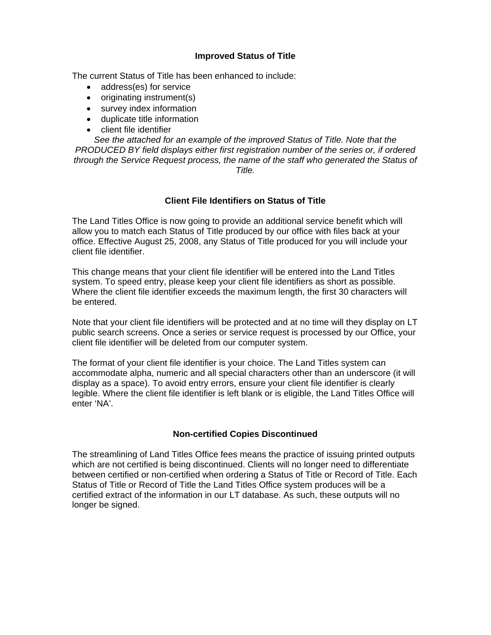## **Improved Status of Title**

The current Status of Title has been enhanced to include:

- address(es) for service
- originating instrument(s)
- survey index information
- duplicate title information
- client file identifier

*See the attached for an example of the improved Status of Title. Note that the PRODUCED BY field displays either first registration number of the series or, if ordered through the Service Request process, the name of the staff who generated the Status of Title.* 

## **Client File Identifiers on Status of Title**

The Land Titles Office is now going to provide an additional service benefit which will allow you to match each Status of Title produced by our office with files back at your office. Effective August 25, 2008, any Status of Title produced for you will include your client file identifier.

This change means that your client file identifier will be entered into the Land Titles system. To speed entry, please keep your client file identifiers as short as possible. Where the client file identifier exceeds the maximum length, the first 30 characters will be entered.

Note that your client file identifiers will be protected and at no time will they display on LT public search screens. Once a series or service request is processed by our Office, your client file identifier will be deleted from our computer system.

The format of your client file identifier is your choice. The Land Titles system can accommodate alpha, numeric and all special characters other than an underscore (it will display as a space). To avoid entry errors, ensure your client file identifier is clearly legible. Where the client file identifier is left blank or is eligible, the Land Titles Office will enter 'NA'.

## **Non-certified Copies Discontinued**

The streamlining of Land Titles Office fees means the practice of issuing printed outputs which are not certified is being discontinued. Clients will no longer need to differentiate between certified or non-certified when ordering a Status of Title or Record of Title. Each Status of Title or Record of Title the Land Titles Office system produces will be a certified extract of the information in our LT database. As such, these outputs will no longer be signed.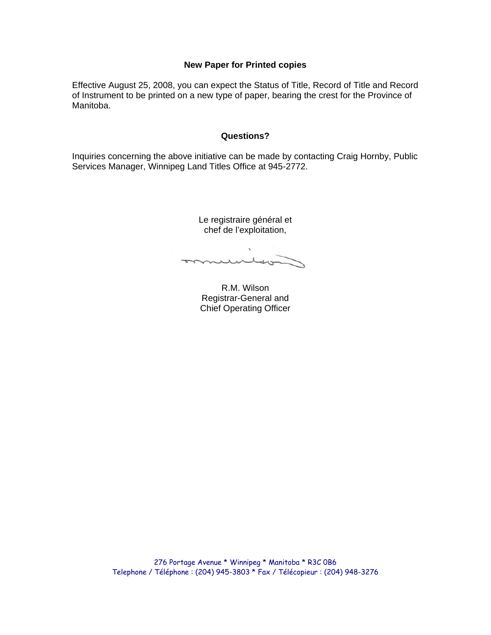### **New Paper for Printed copies**

Effective August 25, 2008, you can expect the Status of Title, Record of Title and Record of Instrument to be printed on a new type of paper, bearing the crest for the Province of Manitoba.

#### **Questions?**

Inquiries concerning the above initiative can be made by contacting Craig Hornby, Public Services Manager, Winnipeg Land Titles Office at 945-2772.

> Le registraire général et chef de l'exploitation,

mund  $45$ 

R.M. Wilson Registrar-General and Chief Operating Officer

276 Portage Avenue \* Winnipeg \* Manitoba \* R3C 0B6 Telephone / Téléphone : (204) 945-3803 \* Fax / Télécopieur : (204) 948-3276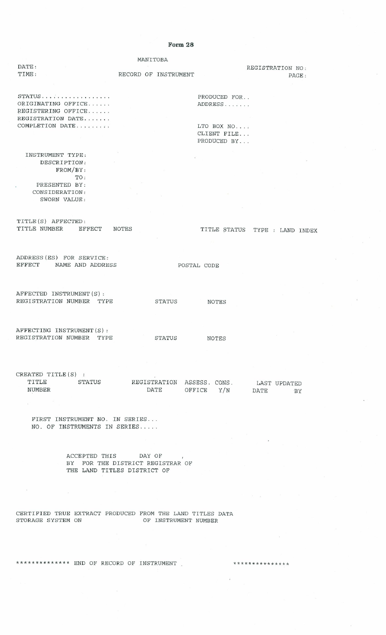#### Form 28

|                                                                                  | MANITOBA                                                                                  |                                                      |                                |
|----------------------------------------------------------------------------------|-------------------------------------------------------------------------------------------|------------------------------------------------------|--------------------------------|
| DATE:<br>TIME:                                                                   | RECORD OF INSTRUMENT                                                                      |                                                      | REGISTRATION NO:<br>PAGE:      |
|                                                                                  |                                                                                           |                                                      |                                |
| ORIGINATING OFFICE<br>REGISTERING OFFICE<br>REGISTRATION DATE<br>COMPLETION DATE |                                                                                           | PRODUCED FOR<br>ADDRESS<br>LTO BOX NO<br>CLIENT FILE |                                |
|                                                                                  |                                                                                           | PRODUCED BY                                          |                                |
|                                                                                  |                                                                                           |                                                      |                                |
| INSTRUMENT TYPE:<br>DESCRIPTION:<br>FROM/BY:<br>TO:                              |                                                                                           |                                                      |                                |
| PRESENTED BY:                                                                    |                                                                                           |                                                      |                                |
| CONSIDERATION:<br>SWORN VALUE:                                                   |                                                                                           |                                                      |                                |
|                                                                                  |                                                                                           |                                                      |                                |
|                                                                                  |                                                                                           |                                                      |                                |
| TITLE(S) AFFECTED:<br>TITLE NUMBER<br>EFFECT                                     | NOTES                                                                                     |                                                      | TITLE STATUS TYPE : LAND INDEX |
|                                                                                  |                                                                                           |                                                      |                                |
| ADDRESS (ES) FOR SERVICE:<br>EFFECT<br>NAME AND ADDRESS                          |                                                                                           | POSTAL CODE                                          |                                |
| AFFECTED INSTRUMENT (S) :<br>REGISTRATION NUMBER<br>TYPE                         | STATUS                                                                                    | <b>NOTES</b>                                         |                                |
| AFFECTING INSTRUMENT (S) :<br>REGISTRATION NUMBER TYPE                           | STATUS                                                                                    | NOTES                                                |                                |
|                                                                                  |                                                                                           |                                                      |                                |
| CREATED TITLE (S) :<br>TITLE<br>STATUS<br>NUMBER                                 | REGISTRATION ASSESS. CONS. LAST UPDATED                                                   | DATE OFFICE Y/N DATE                                 | BY                             |
|                                                                                  |                                                                                           |                                                      |                                |
| FIRST INSTRUMENT NO. IN SERIES<br>NO. OF INSTRUMENTS IN SERIES                   |                                                                                           |                                                      |                                |
|                                                                                  |                                                                                           |                                                      |                                |
|                                                                                  |                                                                                           |                                                      |                                |
|                                                                                  | ACCEPTED THIS DAY OF ,<br>BY FOR THE DISTRICT REGISTRAR OF<br>THE LAND TITLES DISTRICT OF |                                                      |                                |
|                                                                                  |                                                                                           |                                                      |                                |

CERTIFIED TRUE EXTRACT PRODUCED FROM THE LAND TITLES DATA<br>STORAGE SYSTEM ON OF INSTRUMENT NUMBER

\*\*\*\*\*\*\*\*\*\*\*\*\*\* END OF RECORD OF INSTRUMENT

\*\*\*\*\*\*\*\*\*\*\*\*\*\*\*

 $\bar{z}$